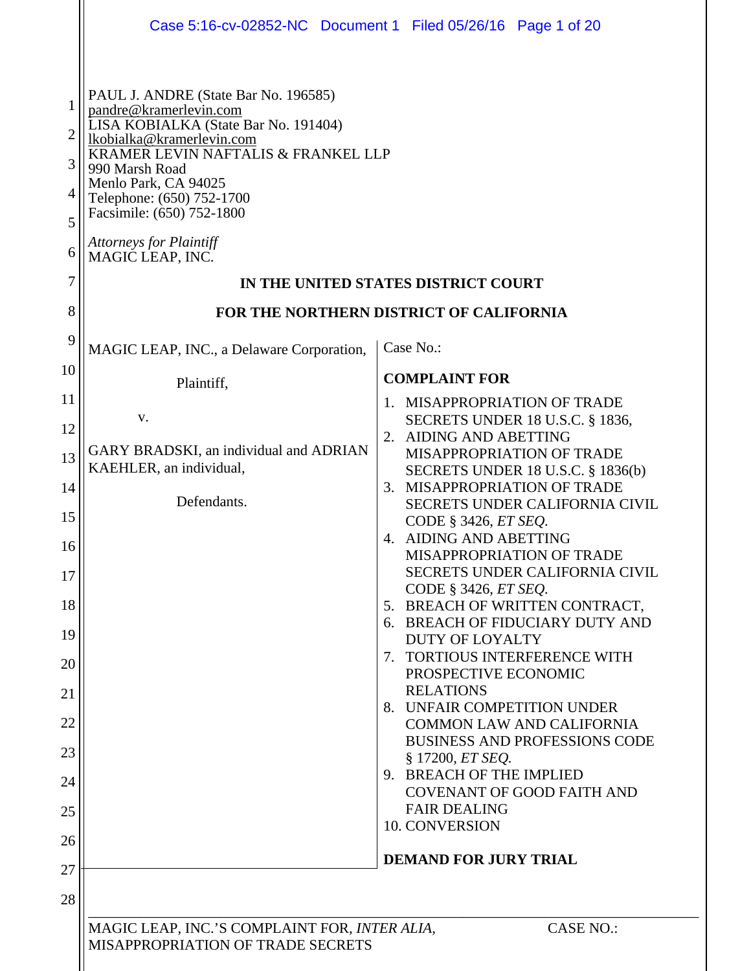|                                                   | Case 5:16-cv-02852-NC Document 1 Filed 05/26/16 Page 1 of 20                                                                                                                                                                                                                                                                                                                                                           |                                                                          |  |
|---------------------------------------------------|------------------------------------------------------------------------------------------------------------------------------------------------------------------------------------------------------------------------------------------------------------------------------------------------------------------------------------------------------------------------------------------------------------------------|--------------------------------------------------------------------------|--|
| 1<br>$\overline{2}$<br>3<br>4<br>5<br>6<br>7<br>8 | PAUL J. ANDRE (State Bar No. 196585)<br>pandre@kramerlevin.com<br>LISA KOBIALKA (State Bar No. 191404)<br>lkobialka@kramerlevin.com<br>KRAMER LEVIN NAFTALIS & FRANKEL LLP<br>990 Marsh Road<br>Menlo Park, CA 94025<br>Telephone: (650) 752-1700<br>Facsimile: (650) 752-1800<br><b>Attorneys for Plaintiff</b><br>MAGIC LEAP, INC.<br>IN THE UNITED STATES DISTRICT COURT<br>FOR THE NORTHERN DISTRICT OF CALIFORNIA |                                                                          |  |
| 9                                                 | MAGIC LEAP, INC., a Delaware Corporation,                                                                                                                                                                                                                                                                                                                                                                              | Case No.:                                                                |  |
| 10                                                | Plaintiff,                                                                                                                                                                                                                                                                                                                                                                                                             | <b>COMPLAINT FOR</b>                                                     |  |
| 11                                                |                                                                                                                                                                                                                                                                                                                                                                                                                        | 1. MISAPPROPRIATION OF TRADE                                             |  |
| 12                                                | V.                                                                                                                                                                                                                                                                                                                                                                                                                     | <b>SECRETS UNDER 18 U.S.C. § 1836,</b><br>2. AIDING AND ABETTING         |  |
| 13                                                | GARY BRADSKI, an individual and ADRIAN<br>KAEHLER, an individual,                                                                                                                                                                                                                                                                                                                                                      | MISAPPROPRIATION OF TRADE<br><b>SECRETS UNDER 18 U.S.C. § 1836(b)</b>    |  |
| 14                                                | Defendants.                                                                                                                                                                                                                                                                                                                                                                                                            | 3. MISAPPROPRIATION OF TRADE                                             |  |
| 15                                                |                                                                                                                                                                                                                                                                                                                                                                                                                        | SECRETS UNDER CALIFORNIA CIVIL<br>CODE § 3426, ET SEO.                   |  |
| 16                                                |                                                                                                                                                                                                                                                                                                                                                                                                                        | 4. AIDING AND ABETTING<br>MISAPPROPRIATION OF TRADE                      |  |
| 17                                                |                                                                                                                                                                                                                                                                                                                                                                                                                        | <b>SECRETS UNDER CALIFORNIA CIVIL</b><br>CODE § 3426, ET SEQ.            |  |
| 18                                                |                                                                                                                                                                                                                                                                                                                                                                                                                        | 5. BREACH OF WRITTEN CONTRACT,<br>6. BREACH OF FIDUCIARY DUTY AND        |  |
| 19                                                |                                                                                                                                                                                                                                                                                                                                                                                                                        | <b>DUTY OF LOYALTY</b>                                                   |  |
| 20                                                |                                                                                                                                                                                                                                                                                                                                                                                                                        | 7. TORTIOUS INTERFERENCE WITH<br>PROSPECTIVE ECONOMIC                    |  |
| 21                                                |                                                                                                                                                                                                                                                                                                                                                                                                                        | <b>RELATIONS</b><br>8. UNFAIR COMPETITION UNDER                          |  |
| 22                                                |                                                                                                                                                                                                                                                                                                                                                                                                                        | <b>COMMON LAW AND CALIFORNIA</b><br><b>BUSINESS AND PROFESSIONS CODE</b> |  |
| 23                                                |                                                                                                                                                                                                                                                                                                                                                                                                                        | § 17200, ET SEQ.                                                         |  |
| 24                                                |                                                                                                                                                                                                                                                                                                                                                                                                                        | 9. BREACH OF THE IMPLIED<br><b>COVENANT OF GOOD FAITH AND</b>            |  |
| 25                                                |                                                                                                                                                                                                                                                                                                                                                                                                                        | <b>FAIR DEALING</b><br>10. CONVERSION                                    |  |
| 26                                                |                                                                                                                                                                                                                                                                                                                                                                                                                        | <b>DEMAND FOR JURY TRIAL</b>                                             |  |
| 27                                                |                                                                                                                                                                                                                                                                                                                                                                                                                        |                                                                          |  |
| 28                                                |                                                                                                                                                                                                                                                                                                                                                                                                                        |                                                                          |  |
|                                                   | MAGIC LEAP, INC.'S COMPLAINT FOR, INTER ALIA,<br><b>CASE NO.:</b><br>MISAPPROPRIATION OF TRADE SECRETS                                                                                                                                                                                                                                                                                                                 |                                                                          |  |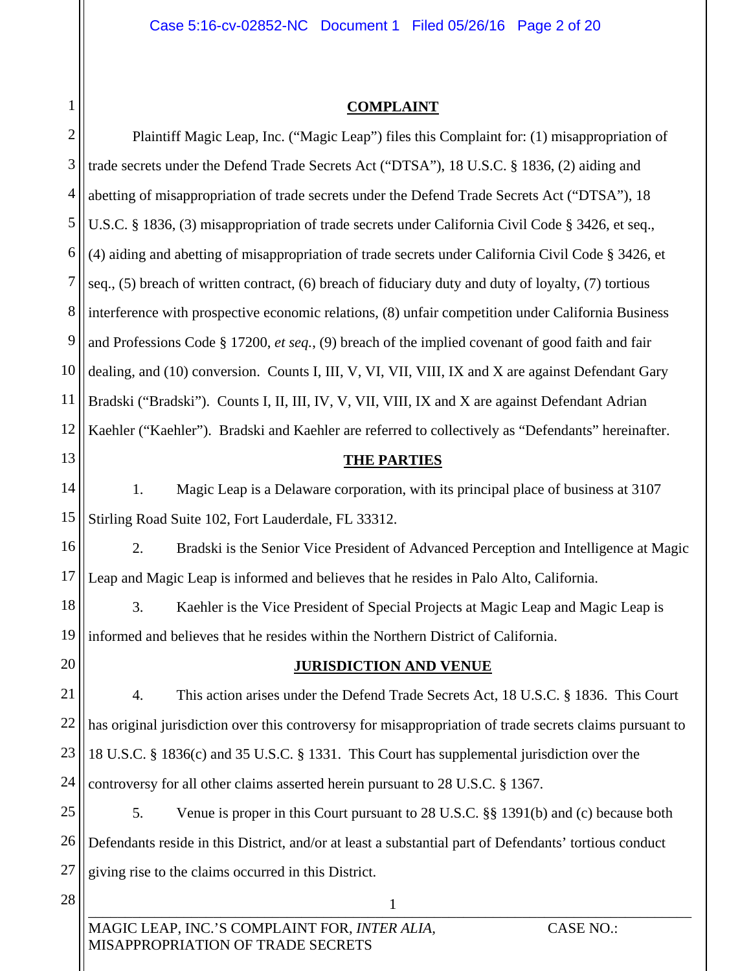#### **COMPLAINT**

1

| $\overline{c}$ | Plaintiff Magic Leap, Inc. ("Magic Leap") files this Complaint for: (1) misappropriation of              |  |  |
|----------------|----------------------------------------------------------------------------------------------------------|--|--|
| 3              | trade secrets under the Defend Trade Secrets Act ("DTSA"), 18 U.S.C. § 1836, (2) aiding and              |  |  |
| $\overline{4}$ | abetting of misappropriation of trade secrets under the Defend Trade Secrets Act ("DTSA"), 18            |  |  |
| 5              | U.S.C. § 1836, (3) misappropriation of trade secrets under California Civil Code § 3426, et seq.,        |  |  |
| 6              | (4) aiding and abetting of misappropriation of trade secrets under California Civil Code § 3426, et      |  |  |
| $\overline{7}$ | seq., (5) breach of written contract, (6) breach of fiduciary duty and duty of loyalty, (7) tortious     |  |  |
| 8              | interference with prospective economic relations, (8) unfair competition under California Business       |  |  |
| 9              | and Professions Code $\S 17200$ , et seq., (9) breach of the implied covenant of good faith and fair     |  |  |
| 10             | dealing, and (10) conversion. Counts I, III, V, VI, VII, VIII, IX and X are against Defendant Gary       |  |  |
| 11             | Bradski ("Bradski"). Counts I, II, III, IV, V, VII, VIII, IX and X are against Defendant Adrian          |  |  |
| 12             | Kaehler ("Kaehler"). Bradski and Kaehler are referred to collectively as "Defendants" hereinafter.       |  |  |
| 13             | <b>THE PARTIES</b>                                                                                       |  |  |
| 14             | Magic Leap is a Delaware corporation, with its principal place of business at 3107<br>1.                 |  |  |
| 15             | Stirling Road Suite 102, Fort Lauderdale, FL 33312.                                                      |  |  |
| 16             | Bradski is the Senior Vice President of Advanced Perception and Intelligence at Magic<br>2.              |  |  |
| 17             | Leap and Magic Leap is informed and believes that he resides in Palo Alto, California.                   |  |  |
| 18             | 3.<br>Kaehler is the Vice President of Special Projects at Magic Leap and Magic Leap is                  |  |  |
| 19             | informed and believes that he resides within the Northern District of California.                        |  |  |
| 20             | <b>JURISDICTION AND VENUE</b>                                                                            |  |  |
| 21             | This action arises under the Defend Trade Secrets Act, 18 U.S.C. § 1836. This Court<br>4.                |  |  |
| 22             | has original jurisdiction over this controversy for misappropriation of trade secrets claims pursuant to |  |  |
| 23             | 18 U.S.C. § 1836(c) and 35 U.S.C. § 1331. This Court has supplemental jurisdiction over the              |  |  |
| 24             | controversy for all other claims asserted herein pursuant to 28 U.S.C. § 1367.                           |  |  |
| 25             | 5.<br>Venue is proper in this Court pursuant to 28 U.S.C. §§ 1391(b) and (c) because both                |  |  |
| 26             | Defendants reside in this District, and/or at least a substantial part of Defendants' tortious conduct   |  |  |
| 27             | giving rise to the claims occurred in this District.                                                     |  |  |
| 28             | $\mathbf{1}$                                                                                             |  |  |
|                | MAGIC LEAP, INC.'S COMPLAINT FOR, INTER ALIA,<br><b>CASE NO.:</b>                                        |  |  |

MISAPPROPRIATION OF TRADE SECRETS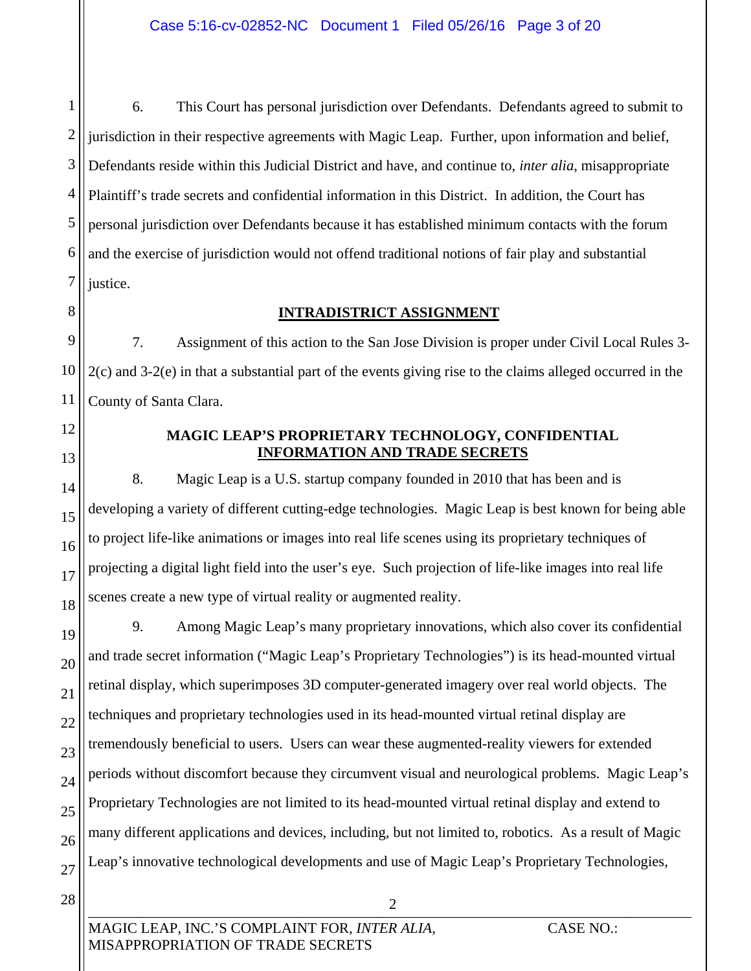1 2 3 4 5 6 7 6. This Court has personal jurisdiction over Defendants. Defendants agreed to submit to jurisdiction in their respective agreements with Magic Leap. Further, upon information and belief, Defendants reside within this Judicial District and have, and continue to, *inter alia*, misappropriate Plaintiff's trade secrets and confidential information in this District. In addition, the Court has personal jurisdiction over Defendants because it has established minimum contacts with the forum and the exercise of jurisdiction would not offend traditional notions of fair play and substantial justice.

#### **INTRADISTRICT ASSIGNMENT**

9 10 11 7. Assignment of this action to the San Jose Division is proper under Civil Local Rules 3- 2(c) and 3-2(e) in that a substantial part of the events giving rise to the claims alleged occurred in the County of Santa Clara.

12 13

14

15

16

17

18

8

#### **MAGIC LEAP'S PROPRIETARY TECHNOLOGY, CONFIDENTIAL INFORMATION AND TRADE SECRETS**

8. Magic Leap is a U.S. startup company founded in 2010 that has been and is developing a variety of different cutting-edge technologies. Magic Leap is best known for being able to project life-like animations or images into real life scenes using its proprietary techniques of projecting a digital light field into the user's eye. Such projection of life-like images into real life scenes create a new type of virtual reality or augmented reality.

19 20 21 22 23 24 25 26 27 9. Among Magic Leap's many proprietary innovations, which also cover its confidential and trade secret information ("Magic Leap's Proprietary Technologies") is its head-mounted virtual retinal display, which superimposes 3D computer-generated imagery over real world objects. The techniques and proprietary technologies used in its head-mounted virtual retinal display are tremendously beneficial to users. Users can wear these augmented-reality viewers for extended periods without discomfort because they circumvent visual and neurological problems. Magic Leap's Proprietary Technologies are not limited to its head-mounted virtual retinal display and extend to many different applications and devices, including, but not limited to, robotics. As a result of Magic Leap's innovative technological developments and use of Magic Leap's Proprietary Technologies,

 $\overline{\mathcal{L}}$  , and the contribution of the contribution of  $\overline{\mathcal{L}}$  , and the contribution of the contribution of the contribution of the contribution of the contribution of the contribution of the contribution of the c

2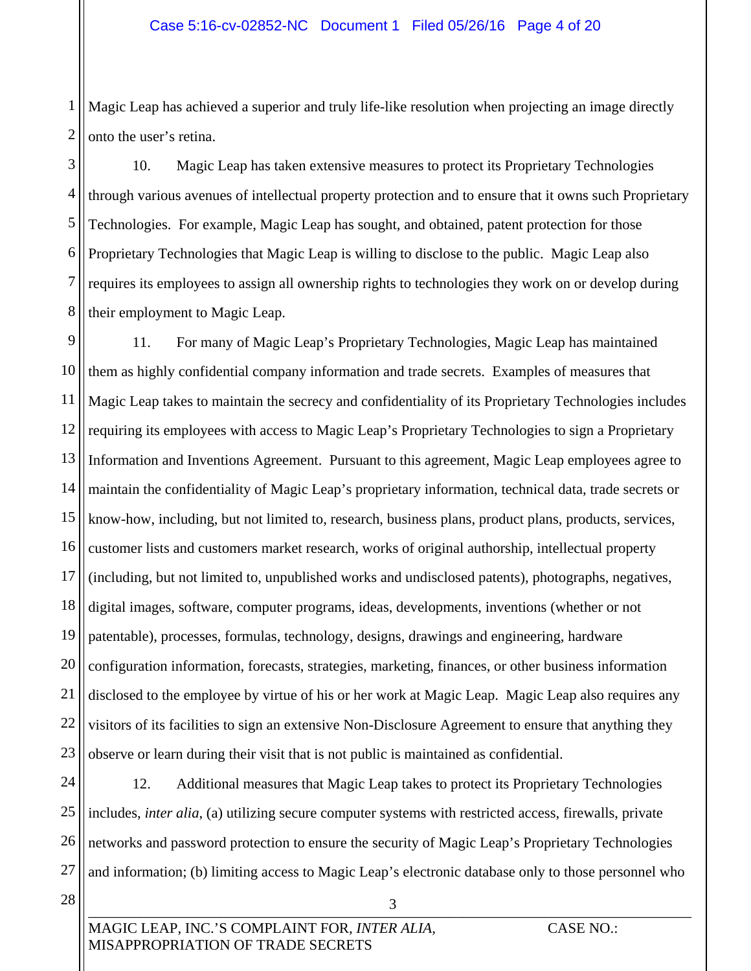1 2 Magic Leap has achieved a superior and truly life-like resolution when projecting an image directly onto the user's retina.

3 4 5 6 7 8 10. Magic Leap has taken extensive measures to protect its Proprietary Technologies through various avenues of intellectual property protection and to ensure that it owns such Proprietary Technologies. For example, Magic Leap has sought, and obtained, patent protection for those Proprietary Technologies that Magic Leap is willing to disclose to the public. Magic Leap also requires its employees to assign all ownership rights to technologies they work on or develop during their employment to Magic Leap.

9 10 11 12 13 14 15 16 17 18 19 20 21 22 23 11. For many of Magic Leap's Proprietary Technologies, Magic Leap has maintained them as highly confidential company information and trade secrets. Examples of measures that Magic Leap takes to maintain the secrecy and confidentiality of its Proprietary Technologies includes requiring its employees with access to Magic Leap's Proprietary Technologies to sign a Proprietary Information and Inventions Agreement. Pursuant to this agreement, Magic Leap employees agree to maintain the confidentiality of Magic Leap's proprietary information, technical data, trade secrets or know-how, including, but not limited to, research, business plans, product plans, products, services, customer lists and customers market research, works of original authorship, intellectual property (including, but not limited to, unpublished works and undisclosed patents), photographs, negatives, digital images, software, computer programs, ideas, developments, inventions (whether or not patentable), processes, formulas, technology, designs, drawings and engineering, hardware configuration information, forecasts, strategies, marketing, finances, or other business information disclosed to the employee by virtue of his or her work at Magic Leap. Magic Leap also requires any visitors of its facilities to sign an extensive Non-Disclosure Agreement to ensure that anything they observe or learn during their visit that is not public is maintained as confidential.

24 25 26 27 12. Additional measures that Magic Leap takes to protect its Proprietary Technologies includes, *inter alia*, (a) utilizing secure computer systems with restricted access, firewalls, private networks and password protection to ensure the security of Magic Leap's Proprietary Technologies and information; (b) limiting access to Magic Leap's electronic database only to those personnel who

 $\overline{\mathcal{O}}$  , and the contract of the contract of the contract of the contract of the contract of the contract of the contract of the contract of the contract of the contract of the contract of the contract of the contrac

3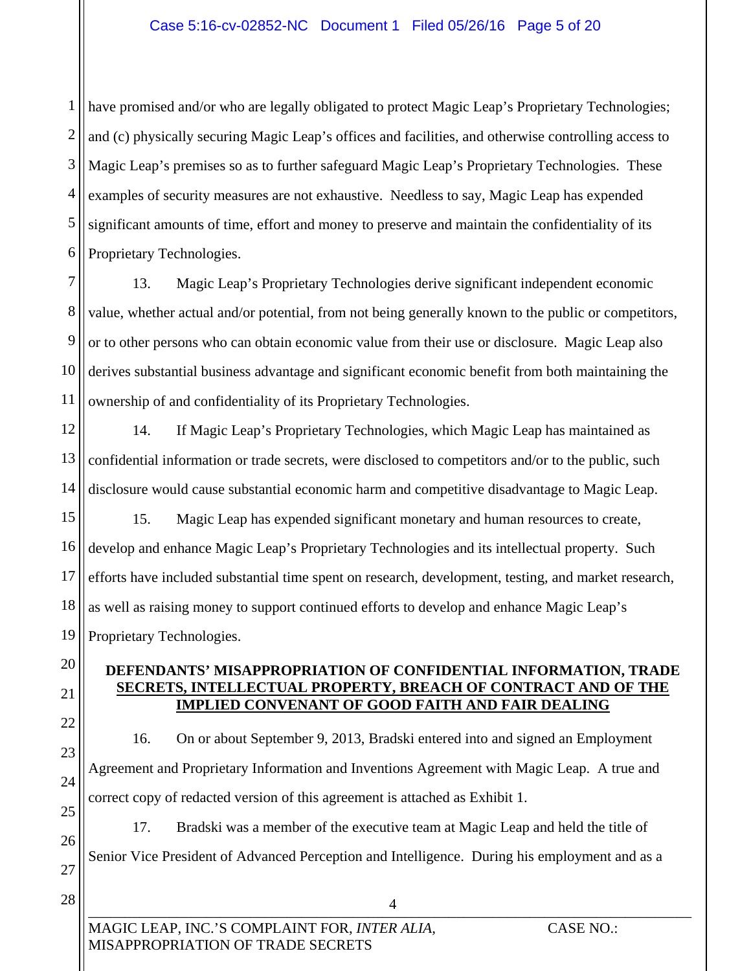#### Case 5:16-cv-02852-NC Document 1 Filed 05/26/16 Page 5 of 20

1 2 3 4 5 6 have promised and/or who are legally obligated to protect Magic Leap's Proprietary Technologies; and (c) physically securing Magic Leap's offices and facilities, and otherwise controlling access to Magic Leap's premises so as to further safeguard Magic Leap's Proprietary Technologies. These examples of security measures are not exhaustive. Needless to say, Magic Leap has expended significant amounts of time, effort and money to preserve and maintain the confidentiality of its Proprietary Technologies.

7 8 9 10 11 13. Magic Leap's Proprietary Technologies derive significant independent economic value, whether actual and/or potential, from not being generally known to the public or competitors, or to other persons who can obtain economic value from their use or disclosure. Magic Leap also derives substantial business advantage and significant economic benefit from both maintaining the ownership of and confidentiality of its Proprietary Technologies.

12 13 14 14. If Magic Leap's Proprietary Technologies, which Magic Leap has maintained as confidential information or trade secrets, were disclosed to competitors and/or to the public, such disclosure would cause substantial economic harm and competitive disadvantage to Magic Leap.

15 16 17 18 19 15. Magic Leap has expended significant monetary and human resources to create, develop and enhance Magic Leap's Proprietary Technologies and its intellectual property. Such efforts have included substantial time spent on research, development, testing, and market research, as well as raising money to support continued efforts to develop and enhance Magic Leap's Proprietary Technologies.

#### **DEFENDANTS' MISAPPROPRIATION OF CONFIDENTIAL INFORMATION, TRADE SECRETS, INTELLECTUAL PROPERTY, BREACH OF CONTRACT AND OF THE IMPLIED CONVENANT OF GOOD FAITH AND FAIR DEALING**

22

20

21

23

24

25

26

27

16. On or about September 9, 2013, Bradski entered into and signed an Employment Agreement and Proprietary Information and Inventions Agreement with Magic Leap. A true and correct copy of redacted version of this agreement is attached as Exhibit 1.

17. Bradski was a member of the executive team at Magic Leap and held the title of Senior Vice President of Advanced Perception and Intelligence. During his employment and as a

4

28

\_\_\_\_\_\_\_\_\_\_\_\_\_\_\_\_\_\_\_\_\_\_\_\_\_\_\_\_\_\_\_\_\_\_\_\_\_\_\_\_\_\_\_\_\_\_\_\_\_\_\_\_\_\_\_\_\_\_\_\_\_\_\_\_\_\_\_\_\_\_\_\_\_\_\_\_\_\_\_\_\_\_ MAGIC LEAP, INC.'S COMPLAINT FOR, *INTER ALIA,* CASE NO.: MISAPPROPRIATION OF TRADE SECRETS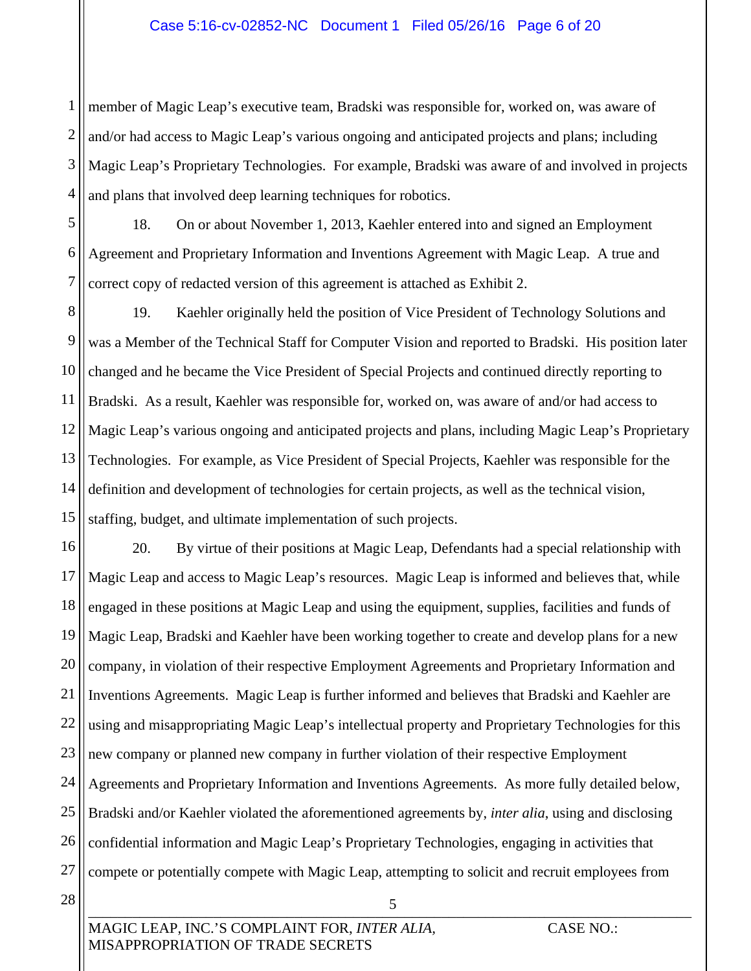#### Case 5:16-cv-02852-NC Document 1 Filed 05/26/16 Page 6 of 20

1 2 3 4 member of Magic Leap's executive team, Bradski was responsible for, worked on, was aware of and/or had access to Magic Leap's various ongoing and anticipated projects and plans; including Magic Leap's Proprietary Technologies. For example, Bradski was aware of and involved in projects and plans that involved deep learning techniques for robotics.

5 6 7 18. On or about November 1, 2013, Kaehler entered into and signed an Employment Agreement and Proprietary Information and Inventions Agreement with Magic Leap. A true and correct copy of redacted version of this agreement is attached as Exhibit 2.

8 9 10 11 12 13 14 15 19. Kaehler originally held the position of Vice President of Technology Solutions and was a Member of the Technical Staff for Computer Vision and reported to Bradski. His position later changed and he became the Vice President of Special Projects and continued directly reporting to Bradski. As a result, Kaehler was responsible for, worked on, was aware of and/or had access to Magic Leap's various ongoing and anticipated projects and plans, including Magic Leap's Proprietary Technologies. For example, as Vice President of Special Projects, Kaehler was responsible for the definition and development of technologies for certain projects, as well as the technical vision, staffing, budget, and ultimate implementation of such projects.

16 17 18 19 20 21 22 23 24 25 26 27 28 20. By virtue of their positions at Magic Leap, Defendants had a special relationship with Magic Leap and access to Magic Leap's resources. Magic Leap is informed and believes that, while engaged in these positions at Magic Leap and using the equipment, supplies, facilities and funds of Magic Leap, Bradski and Kaehler have been working together to create and develop plans for a new company, in violation of their respective Employment Agreements and Proprietary Information and Inventions Agreements. Magic Leap is further informed and believes that Bradski and Kaehler are using and misappropriating Magic Leap's intellectual property and Proprietary Technologies for this new company or planned new company in further violation of their respective Employment Agreements and Proprietary Information and Inventions Agreements. As more fully detailed below, Bradski and/or Kaehler violated the aforementioned agreements by, *inter alia*, using and disclosing confidential information and Magic Leap's Proprietary Technologies, engaging in activities that compete or potentially compete with Magic Leap, attempting to solicit and recruit employees from

 $\overline{J}$  , and the contribution of the contribution of  $\overline{J}$  , and the contribution of the contribution of  $\overline{J}$ 

5

MAGIC LEAP, INC.'S COMPLAINT FOR, *INTER ALIA,* CASE NO.: MISAPPROPRIATION OF TRADE SECRETS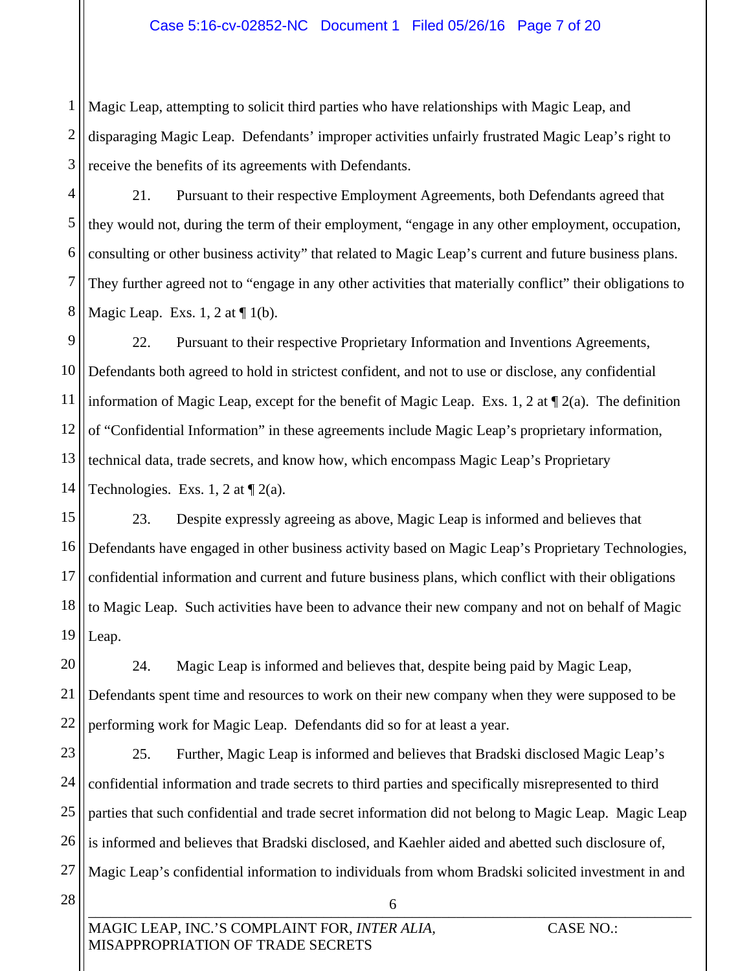#### Case 5:16-cv-02852-NC Document 1 Filed 05/26/16 Page 7 of 20

1 2 3 Magic Leap, attempting to solicit third parties who have relationships with Magic Leap, and disparaging Magic Leap. Defendants' improper activities unfairly frustrated Magic Leap's right to receive the benefits of its agreements with Defendants.

4 5 6 7 8 21. Pursuant to their respective Employment Agreements, both Defendants agreed that they would not, during the term of their employment, "engage in any other employment, occupation, consulting or other business activity" that related to Magic Leap's current and future business plans. They further agreed not to "engage in any other activities that materially conflict" their obligations to Magic Leap. Exs. 1, 2 at  $\P$  1(b).

9 10 11 12 13 14 22. Pursuant to their respective Proprietary Information and Inventions Agreements, Defendants both agreed to hold in strictest confident, and not to use or disclose, any confidential information of Magic Leap, except for the benefit of Magic Leap. Exs. 1, 2 at  $\P$  2(a). The definition of "Confidential Information" in these agreements include Magic Leap's proprietary information, technical data, trade secrets, and know how, which encompass Magic Leap's Proprietary Technologies. Exs. 1, 2 at  $\P$  2(a).

15 16 17 18 19 23. Despite expressly agreeing as above, Magic Leap is informed and believes that Defendants have engaged in other business activity based on Magic Leap's Proprietary Technologies, confidential information and current and future business plans, which conflict with their obligations to Magic Leap. Such activities have been to advance their new company and not on behalf of Magic Leap.

20 21 22 24. Magic Leap is informed and believes that, despite being paid by Magic Leap, Defendants spent time and resources to work on their new company when they were supposed to be performing work for Magic Leap. Defendants did so for at least a year.

23 24 25 26 27 25. Further, Magic Leap is informed and believes that Bradski disclosed Magic Leap's confidential information and trade secrets to third parties and specifically misrepresented to third parties that such confidential and trade secret information did not belong to Magic Leap. Magic Leap is informed and believes that Bradski disclosed, and Kaehler aided and abetted such disclosure of, Magic Leap's confidential information to individuals from whom Bradski solicited investment in and

 $\mathbf{0}$ 

6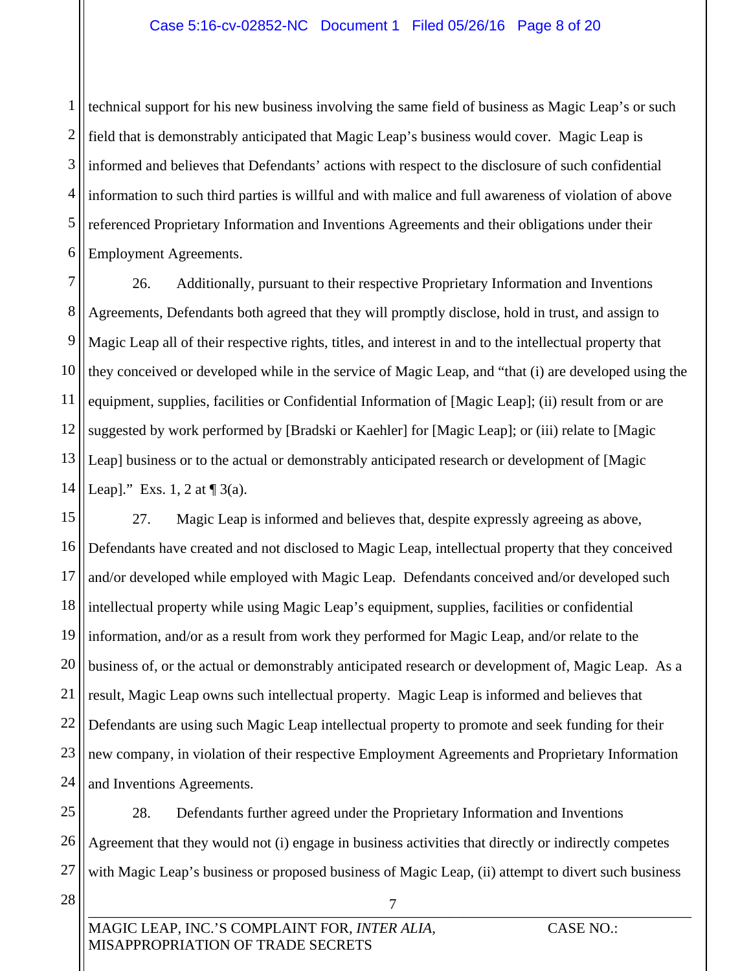1 2 3 4 5 6 technical support for his new business involving the same field of business as Magic Leap's or such field that is demonstrably anticipated that Magic Leap's business would cover. Magic Leap is informed and believes that Defendants' actions with respect to the disclosure of such confidential information to such third parties is willful and with malice and full awareness of violation of above referenced Proprietary Information and Inventions Agreements and their obligations under their Employment Agreements.

7 8 9 10 11 12 13 14 26. Additionally, pursuant to their respective Proprietary Information and Inventions Agreements, Defendants both agreed that they will promptly disclose, hold in trust, and assign to Magic Leap all of their respective rights, titles, and interest in and to the intellectual property that they conceived or developed while in the service of Magic Leap, and "that (i) are developed using the equipment, supplies, facilities or Confidential Information of [Magic Leap]; (ii) result from or are suggested by work performed by [Bradski or Kaehler] for [Magic Leap]; or (iii) relate to [Magic Leap] business or to the actual or demonstrably anticipated research or development of [Magic Leap]." Exs. 1, 2 at  $\P$  3(a).

15 16 17 18 19 20 21 22 23 24 27. Magic Leap is informed and believes that, despite expressly agreeing as above, Defendants have created and not disclosed to Magic Leap, intellectual property that they conceived and/or developed while employed with Magic Leap. Defendants conceived and/or developed such intellectual property while using Magic Leap's equipment, supplies, facilities or confidential information, and/or as a result from work they performed for Magic Leap, and/or relate to the business of, or the actual or demonstrably anticipated research or development of, Magic Leap. As a result, Magic Leap owns such intellectual property. Magic Leap is informed and believes that Defendants are using such Magic Leap intellectual property to promote and seek funding for their new company, in violation of their respective Employment Agreements and Proprietary Information and Inventions Agreements.

25 26 27 28. Defendants further agreed under the Proprietary Information and Inventions Agreement that they would not (i) engage in business activities that directly or indirectly competes with Magic Leap's business or proposed business of Magic Leap, (ii) attempt to divert such business

 $\frac{1}{2}$  , the contribution of the contribution of the contribution of the contribution of the contribution of the contribution of the contribution of the contribution of the contribution of the contribution of the contr

7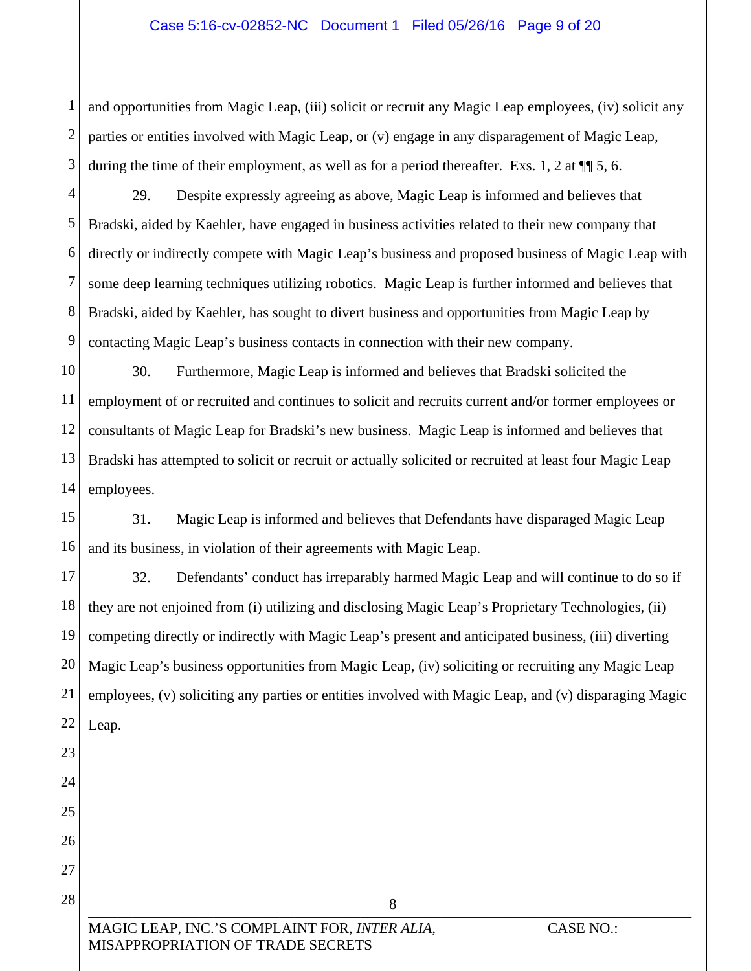#### Case 5:16-cv-02852-NC Document 1 Filed 05/26/16 Page 9 of 20

1 2 3 and opportunities from Magic Leap, (iii) solicit or recruit any Magic Leap employees, (iv) solicit any parties or entities involved with Magic Leap, or (v) engage in any disparagement of Magic Leap, during the time of their employment, as well as for a period thereafter. Exs. 1, 2 at  $\P$  5, 6.

4 5 6 7 8 9 29. Despite expressly agreeing as above, Magic Leap is informed and believes that Bradski, aided by Kaehler, have engaged in business activities related to their new company that directly or indirectly compete with Magic Leap's business and proposed business of Magic Leap with some deep learning techniques utilizing robotics. Magic Leap is further informed and believes that Bradski, aided by Kaehler, has sought to divert business and opportunities from Magic Leap by contacting Magic Leap's business contacts in connection with their new company.

10 11 12 13 14 30. Furthermore, Magic Leap is informed and believes that Bradski solicited the employment of or recruited and continues to solicit and recruits current and/or former employees or consultants of Magic Leap for Bradski's new business. Magic Leap is informed and believes that Bradski has attempted to solicit or recruit or actually solicited or recruited at least four Magic Leap employees.

15 16 31. Magic Leap is informed and believes that Defendants have disparaged Magic Leap and its business, in violation of their agreements with Magic Leap.

17 18 19 20 21 22 23 32. Defendants' conduct has irreparably harmed Magic Leap and will continue to do so if they are not enjoined from (i) utilizing and disclosing Magic Leap's Proprietary Technologies, (ii) competing directly or indirectly with Magic Leap's present and anticipated business, (iii) diverting Magic Leap's business opportunities from Magic Leap, (iv) soliciting or recruiting any Magic Leap employees, (v) soliciting any parties or entities involved with Magic Leap, and (v) disparaging Magic Leap.

8

 $\bullet$ 26 27 28

24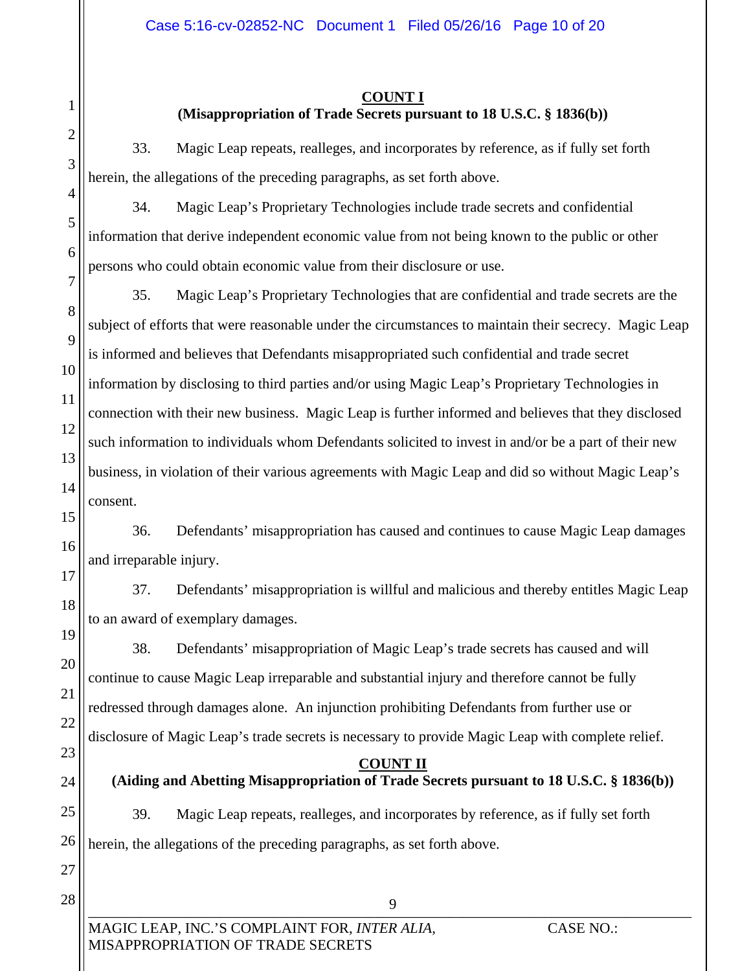# 1 2 3 4 5 6 7 8 9 10 11 12 13 14 15 16 17 18 19 20 21 22 23 24 25 26 27

28

 $\overline{\mathcal{I}}$  , and the contribution of the contribution of  $\overline{\mathcal{I}}$  , and the contribution of the contribution of the contribution of  $\overline{\mathcal{I}}$ MAGIC LEAP, INC.'S COMPLAINT FOR, *INTER ALIA,* CASE NO.: MISAPPROPRIATION OF TRADE SECRETS 9 **COUNT II (Aiding and Abetting Misappropriation of Trade Secrets pursuant to 18 U.S.C. § 1836(b))**  herein, the allegations of the preceding paragraphs, as set forth above.

#### **COUNT I**

### **(Misappropriation of Trade Secrets pursuant to 18 U.S.C. § 1836(b))**

33. Magic Leap repeats, realleges, and incorporates by reference, as if fully set forth herein, the allegations of the preceding paragraphs, as set forth above.

34. Magic Leap's Proprietary Technologies include trade secrets and confidential information that derive independent economic value from not being known to the public or other persons who could obtain economic value from their disclosure or use.

35. Magic Leap's Proprietary Technologies that are confidential and trade secrets are the subject of efforts that were reasonable under the circumstances to maintain their secrecy. Magic Leap is informed and believes that Defendants misappropriated such confidential and trade secret information by disclosing to third parties and/or using Magic Leap's Proprietary Technologies in connection with their new business. Magic Leap is further informed and believes that they disclosed such information to individuals whom Defendants solicited to invest in and/or be a part of their new business, in violation of their various agreements with Magic Leap and did so without Magic Leap's consent.

36. Defendants' misappropriation has caused and continues to cause Magic Leap damages and irreparable injury.

37. Defendants' misappropriation is willful and malicious and thereby entitles Magic Leap to an award of exemplary damages.

38. Defendants' misappropriation of Magic Leap's trade secrets has caused and will continue to cause Magic Leap irreparable and substantial injury and therefore cannot be fully redressed through damages alone. An injunction prohibiting Defendants from further use or disclosure of Magic Leap's trade secrets is necessary to provide Magic Leap with complete relief.

39. Magic Leap repeats, realleges, and incorporates by reference, as if fully set forth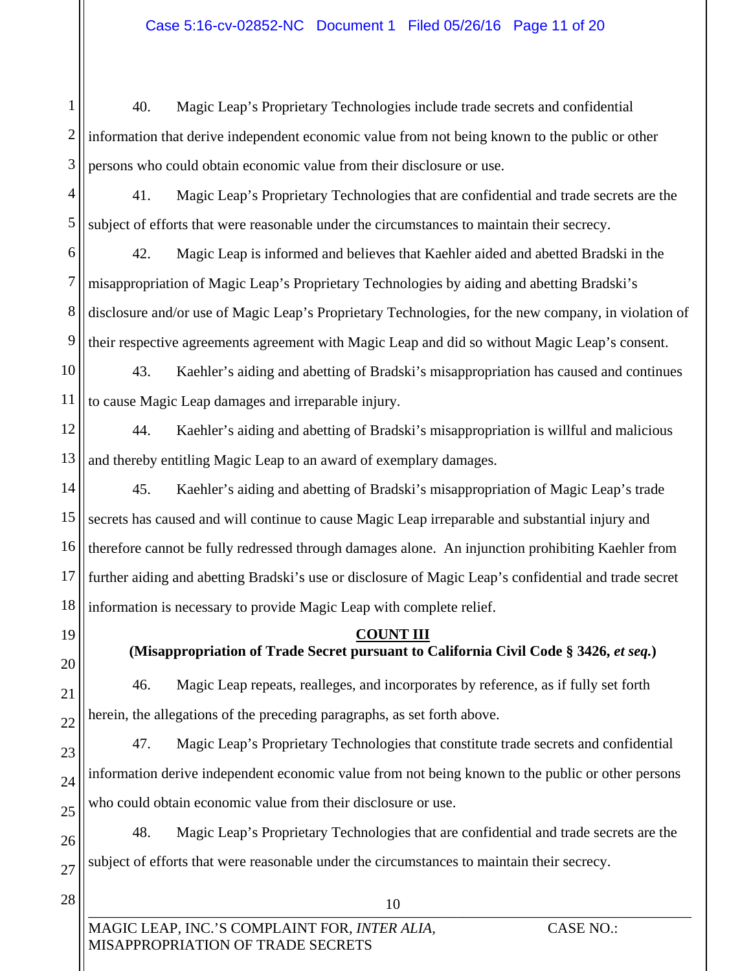1 2 3 40. Magic Leap's Proprietary Technologies include trade secrets and confidential information that derive independent economic value from not being known to the public or other persons who could obtain economic value from their disclosure or use.

4 5 41. Magic Leap's Proprietary Technologies that are confidential and trade secrets are the subject of efforts that were reasonable under the circumstances to maintain their secrecy.

6 7 8 9 42. Magic Leap is informed and believes that Kaehler aided and abetted Bradski in the misappropriation of Magic Leap's Proprietary Technologies by aiding and abetting Bradski's disclosure and/or use of Magic Leap's Proprietary Technologies, for the new company, in violation of their respective agreements agreement with Magic Leap and did so without Magic Leap's consent.

10 11 43. Kaehler's aiding and abetting of Bradski's misappropriation has caused and continues to cause Magic Leap damages and irreparable injury.

12 13 44. Kaehler's aiding and abetting of Bradski's misappropriation is willful and malicious and thereby entitling Magic Leap to an award of exemplary damages.

14 15 16 17 18 45. Kaehler's aiding and abetting of Bradski's misappropriation of Magic Leap's trade secrets has caused and will continue to cause Magic Leap irreparable and substantial injury and therefore cannot be fully redressed through damages alone. An injunction prohibiting Kaehler from further aiding and abetting Bradski's use or disclosure of Magic Leap's confidential and trade secret information is necessary to provide Magic Leap with complete relief.

19

20

21

22

**COUNT III (Misappropriation of Trade Secret pursuant to California Civil Code § 3426,** *et seq.***)** 

46. Magic Leap repeats, realleges, and incorporates by reference, as if fully set forth herein, the allegations of the preceding paragraphs, as set forth above.

23 24 25 47. Magic Leap's Proprietary Technologies that constitute trade secrets and confidential information derive independent economic value from not being known to the public or other persons who could obtain economic value from their disclosure or use.

26 27 48. Magic Leap's Proprietary Technologies that are confidential and trade secrets are the subject of efforts that were reasonable under the circumstances to maintain their secrecy.

 $10$ 

10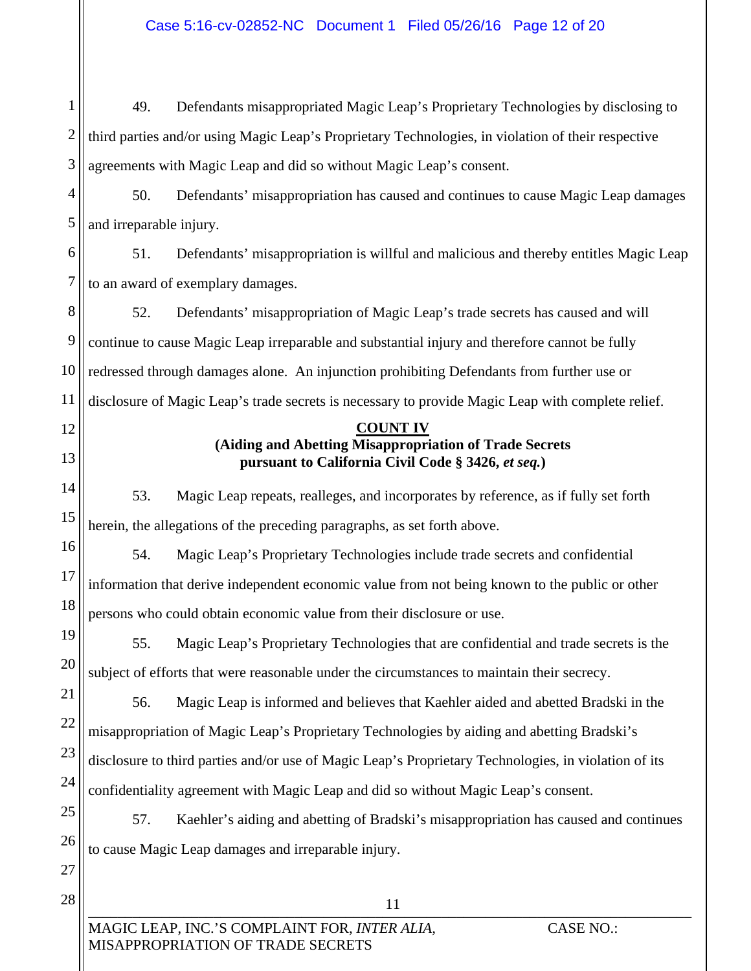$11\,$ 11 1 2 3 4 5 6 7 8 9 10 11 12 13 14 15 16 17 18 19 20 21 22 23 24 25 26 27 28 49. Defendants misappropriated Magic Leap's Proprietary Technologies by disclosing to third parties and/or using Magic Leap's Proprietary Technologies, in violation of their respective agreements with Magic Leap and did so without Magic Leap's consent. 50. Defendants' misappropriation has caused and continues to cause Magic Leap damages and irreparable injury. 51. Defendants' misappropriation is willful and malicious and thereby entitles Magic Leap to an award of exemplary damages. 52. Defendants' misappropriation of Magic Leap's trade secrets has caused and will continue to cause Magic Leap irreparable and substantial injury and therefore cannot be fully redressed through damages alone. An injunction prohibiting Defendants from further use or disclosure of Magic Leap's trade secrets is necessary to provide Magic Leap with complete relief. **COUNT IV (Aiding and Abetting Misappropriation of Trade Secrets pursuant to California Civil Code § 3426,** *et seq.***)**  53. Magic Leap repeats, realleges, and incorporates by reference, as if fully set forth herein, the allegations of the preceding paragraphs, as set forth above. 54. Magic Leap's Proprietary Technologies include trade secrets and confidential information that derive independent economic value from not being known to the public or other persons who could obtain economic value from their disclosure or use. 55. Magic Leap's Proprietary Technologies that are confidential and trade secrets is the subject of efforts that were reasonable under the circumstances to maintain their secrecy. 56. Magic Leap is informed and believes that Kaehler aided and abetted Bradski in the misappropriation of Magic Leap's Proprietary Technologies by aiding and abetting Bradski's disclosure to third parties and/or use of Magic Leap's Proprietary Technologies, in violation of its confidentiality agreement with Magic Leap and did so without Magic Leap's consent. 57. Kaehler's aiding and abetting of Bradski's misappropriation has caused and continues to cause Magic Leap damages and irreparable injury.

Case 5:16-cv-02852-NC Document 1 Filed 05/26/16 Page 12 of 20

MAGIC LEAP, INC.'S COMPLAINT FOR, *INTER ALIA,* CASE NO.: MISAPPROPRIATION OF TRADE SECRETS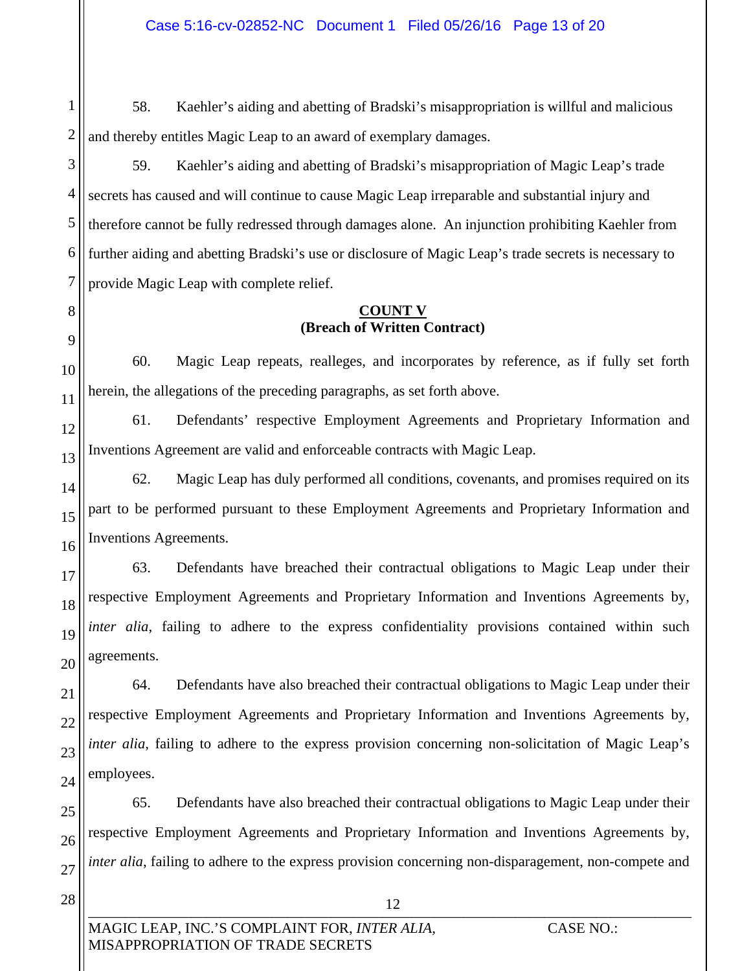1 2 58. Kaehler's aiding and abetting of Bradski's misappropriation is willful and malicious and thereby entitles Magic Leap to an award of exemplary damages.

59. Kaehler's aiding and abetting of Bradski's misappropriation of Magic Leap's trade secrets has caused and will continue to cause Magic Leap irreparable and substantial injury and therefore cannot be fully redressed through damages alone. An injunction prohibiting Kaehler from further aiding and abetting Bradski's use or disclosure of Magic Leap's trade secrets is necessary to provide Magic Leap with complete relief.

#### **COUNT V (Breach of Written Contract)**

60. Magic Leap repeats, realleges, and incorporates by reference, as if fully set forth herein, the allegations of the preceding paragraphs, as set forth above.

12 13 61. Defendants' respective Employment Agreements and Proprietary Information and Inventions Agreement are valid and enforceable contracts with Magic Leap.

62. Magic Leap has duly performed all conditions, covenants, and promises required on its part to be performed pursuant to these Employment Agreements and Proprietary Information and Inventions Agreements.

17 18 19 20 63. Defendants have breached their contractual obligations to Magic Leap under their respective Employment Agreements and Proprietary Information and Inventions Agreements by, *inter alia*, failing to adhere to the express confidentiality provisions contained within such agreements.

64. Defendants have also breached their contractual obligations to Magic Leap under their respective Employment Agreements and Proprietary Information and Inventions Agreements by, *inter alia*, failing to adhere to the express provision concerning non-solicitation of Magic Leap's employees.

25 26 27 65. Defendants have also breached their contractual obligations to Magic Leap under their respective Employment Agreements and Proprietary Information and Inventions Agreements by, *inter alia*, failing to adhere to the express provision concerning non-disparagement, non-compete and

28

3

4

5

6

7

8

9

10

11

14

15

16

21

22

23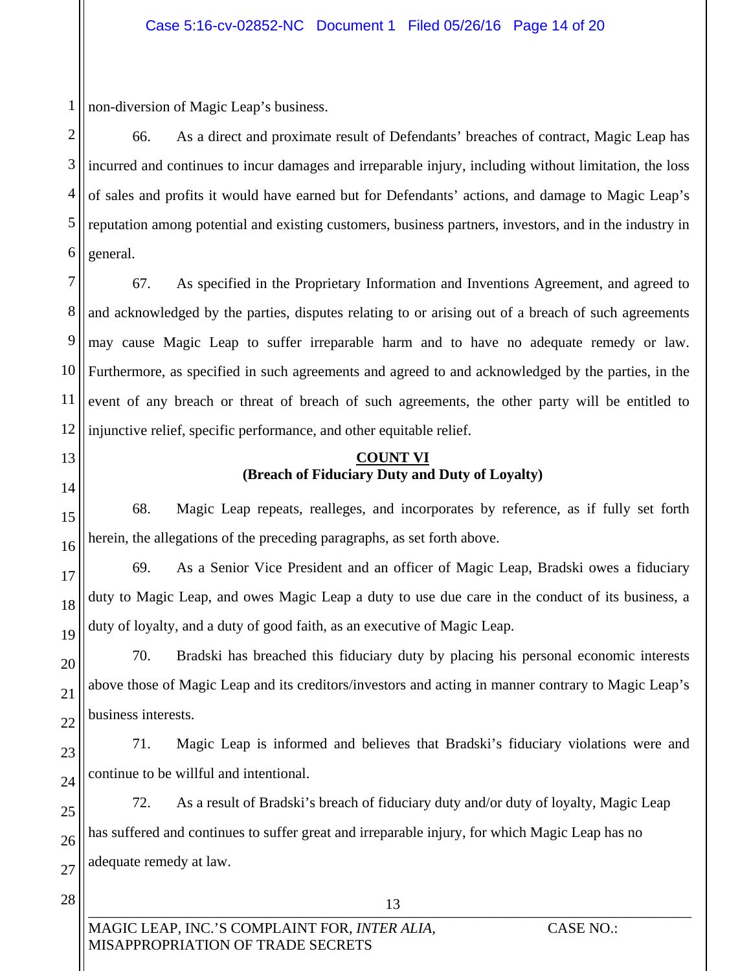1 non-diversion of Magic Leap's business.

2 3 4 5 6 66. As a direct and proximate result of Defendants' breaches of contract, Magic Leap has incurred and continues to incur damages and irreparable injury, including without limitation, the loss of sales and profits it would have earned but for Defendants' actions, and damage to Magic Leap's reputation among potential and existing customers, business partners, investors, and in the industry in general.

7 8 9 10 11 12 67. As specified in the Proprietary Information and Inventions Agreement, and agreed to and acknowledged by the parties, disputes relating to or arising out of a breach of such agreements may cause Magic Leap to suffer irreparable harm and to have no adequate remedy or law. Furthermore, as specified in such agreements and agreed to and acknowledged by the parties, in the event of any breach or threat of breach of such agreements, the other party will be entitled to injunctive relief, specific performance, and other equitable relief.

# 13

# 14

15

16

17

18

19

20

21

22

#### **COUNT VI (Breach of Fiduciary Duty and Duty of Loyalty)**

68. Magic Leap repeats, realleges, and incorporates by reference, as if fully set forth herein, the allegations of the preceding paragraphs, as set forth above.

69. As a Senior Vice President and an officer of Magic Leap, Bradski owes a fiduciary duty to Magic Leap, and owes Magic Leap a duty to use due care in the conduct of its business, a duty of loyalty, and a duty of good faith, as an executive of Magic Leap.

70. Bradski has breached this fiduciary duty by placing his personal economic interests above those of Magic Leap and its creditors/investors and acting in manner contrary to Magic Leap's business interests.

23 24 71. Magic Leap is informed and believes that Bradski's fiduciary violations were and continue to be willful and intentional.

25 26 27 72. As a result of Bradski's breach of fiduciary duty and/or duty of loyalty, Magic Leap has suffered and continues to suffer great and irreparable injury, for which Magic Leap has no adequate remedy at law.

 $_{13}$  , and the contract of the contract of  $_{13}$  , and  $_{15}$  , and  $_{16}$  , and  $_{17}$  , and  $_{18}$  , and  $_{19}$  , and  $_{19}$  , and  $_{19}$  , and  $_{19}$  , and  $_{19}$  , and  $_{19}$  , and  $_{19}$  , and  $_{19}$  , and  $_{19}$ 

13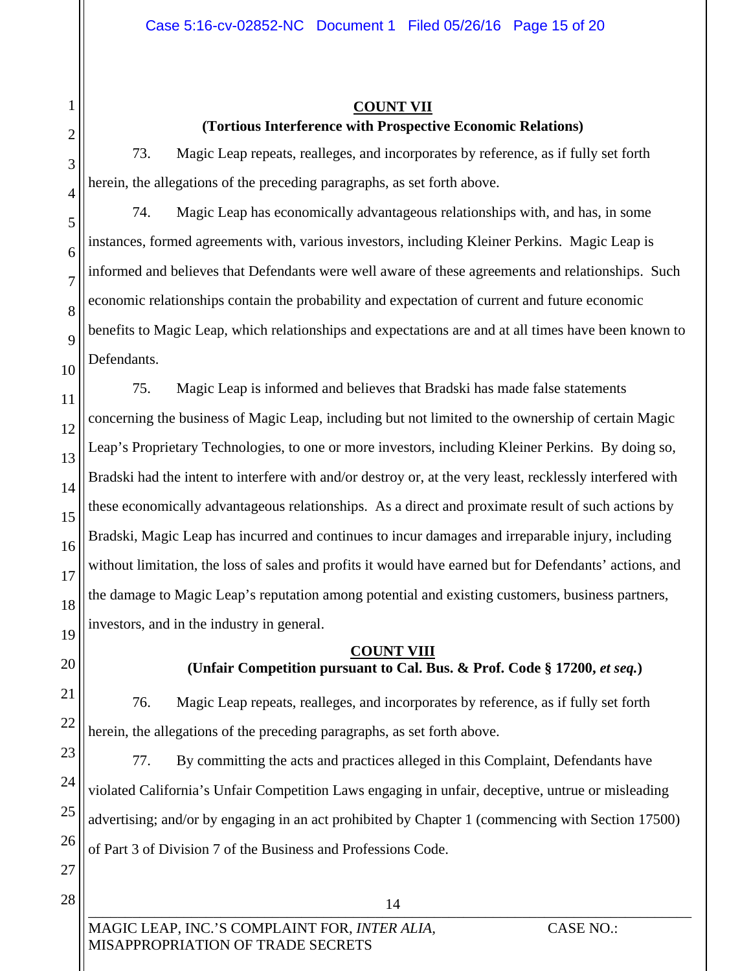#### **COUNT VII (Tortious Interference with Prospective Economic Relations)**

73. Magic Leap repeats, realleges, and incorporates by reference, as if fully set forth herein, the allegations of the preceding paragraphs, as set forth above.

74. Magic Leap has economically advantageous relationships with, and has, in some instances, formed agreements with, various investors, including Kleiner Perkins. Magic Leap is informed and believes that Defendants were well aware of these agreements and relationships. Such economic relationships contain the probability and expectation of current and future economic benefits to Magic Leap, which relationships and expectations are and at all times have been known to Defendants.

16 75. Magic Leap is informed and believes that Bradski has made false statements concerning the business of Magic Leap, including but not limited to the ownership of certain Magic Leap's Proprietary Technologies, to one or more investors, including Kleiner Perkins. By doing so, Bradski had the intent to interfere with and/or destroy or, at the very least, recklessly interfered with these economically advantageous relationships. As a direct and proximate result of such actions by Bradski, Magic Leap has incurred and continues to incur damages and irreparable injury, including without limitation, the loss of sales and profits it would have earned but for Defendants' actions, and the damage to Magic Leap's reputation among potential and existing customers, business partners, investors, and in the industry in general.

#### **COUNT VIII (Unfair Competition pursuant to Cal. Bus. & Prof. Code § 17200,** *et seq.***)**

76. Magic Leap repeats, realleges, and incorporates by reference, as if fully set forth herein, the allegations of the preceding paragraphs, as set forth above.

77. By committing the acts and practices alleged in this Complaint, Defendants have violated California's Unfair Competition Laws engaging in unfair, deceptive, untrue or misleading advertising; and/or by engaging in an act prohibited by Chapter 1 (commencing with Section 17500) of Part 3 of Division 7 of the Business and Professions Code.

\_\_\_\_\_\_\_\_\_\_\_\_\_\_\_\_\_\_\_\_\_\_\_\_\_\_\_\_\_\_\_\_\_\_\_\_\_\_\_\_\_\_\_\_\_\_\_\_\_\_\_\_\_\_\_\_\_\_\_\_\_\_\_\_\_\_\_\_\_\_\_\_\_\_\_\_\_\_\_\_\_\_

14

27 28

1

2

3

4

5

6

7

8

9

10

11

12

13

14

15

17

18

19

20

21

22

23

24

25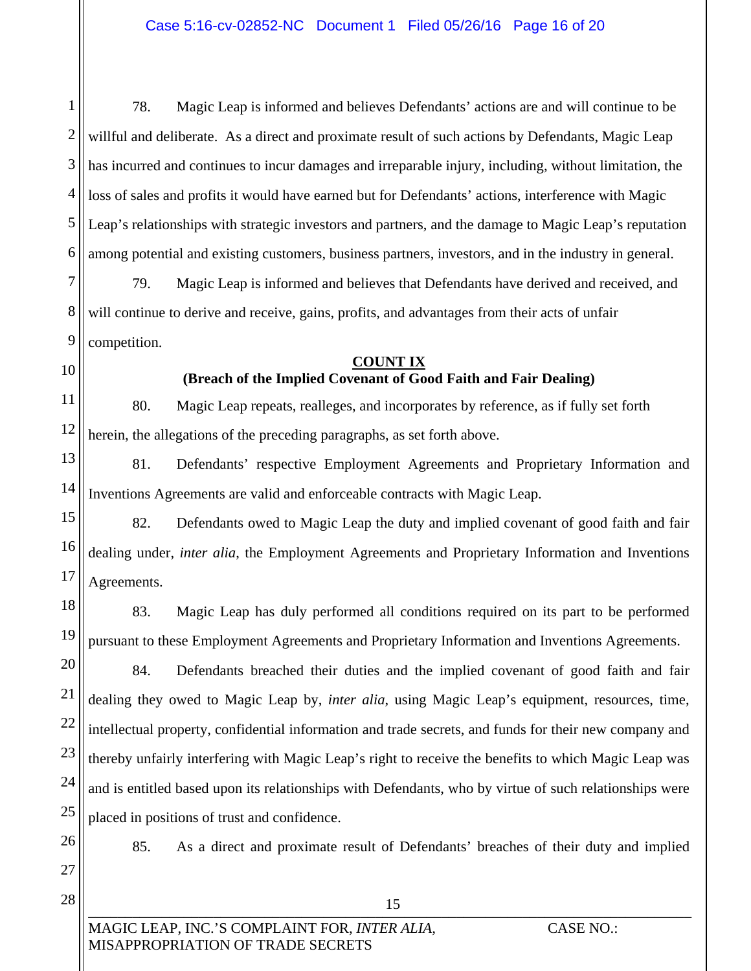1 2 3 4 5 6 78. Magic Leap is informed and believes Defendants' actions are and will continue to be willful and deliberate. As a direct and proximate result of such actions by Defendants, Magic Leap has incurred and continues to incur damages and irreparable injury, including, without limitation, the loss of sales and profits it would have earned but for Defendants' actions, interference with Magic Leap's relationships with strategic investors and partners, and the damage to Magic Leap's reputation among potential and existing customers, business partners, investors, and in the industry in general.

7 8 9 79. Magic Leap is informed and believes that Defendants have derived and received, and will continue to derive and receive, gains, profits, and advantages from their acts of unfair competition.

10

## **COUNT IX**

### **(Breach of the Implied Covenant of Good Faith and Fair Dealing)**

11 12 80. Magic Leap repeats, realleges, and incorporates by reference, as if fully set forth herein, the allegations of the preceding paragraphs, as set forth above.

13 14 81. Defendants' respective Employment Agreements and Proprietary Information and Inventions Agreements are valid and enforceable contracts with Magic Leap.

15 16 17 82. Defendants owed to Magic Leap the duty and implied covenant of good faith and fair dealing under, *inter alia*, the Employment Agreements and Proprietary Information and Inventions Agreements.

18 19 83. Magic Leap has duly performed all conditions required on its part to be performed pursuant to these Employment Agreements and Proprietary Information and Inventions Agreements.

20 21 22 23 24 25 84. Defendants breached their duties and the implied covenant of good faith and fair dealing they owed to Magic Leap by, *inter alia*, using Magic Leap's equipment, resources, time, intellectual property, confidential information and trade secrets, and funds for their new company and thereby unfairly interfering with Magic Leap's right to receive the benefits to which Magic Leap was and is entitled based upon its relationships with Defendants, who by virtue of such relationships were placed in positions of trust and confidence.

26 27

85. As a direct and proximate result of Defendants' breaches of their duty and implied

 $_{13}$  ,  $_{22}$  ,  $_{33}$  ,  $_{44}$  ,  $_{55}$  ,  $_{65}$  ,  $_{75}$  ,  $_{85}$  ,  $_{19}$  ,  $_{10}$  ,  $_{11}$ 

15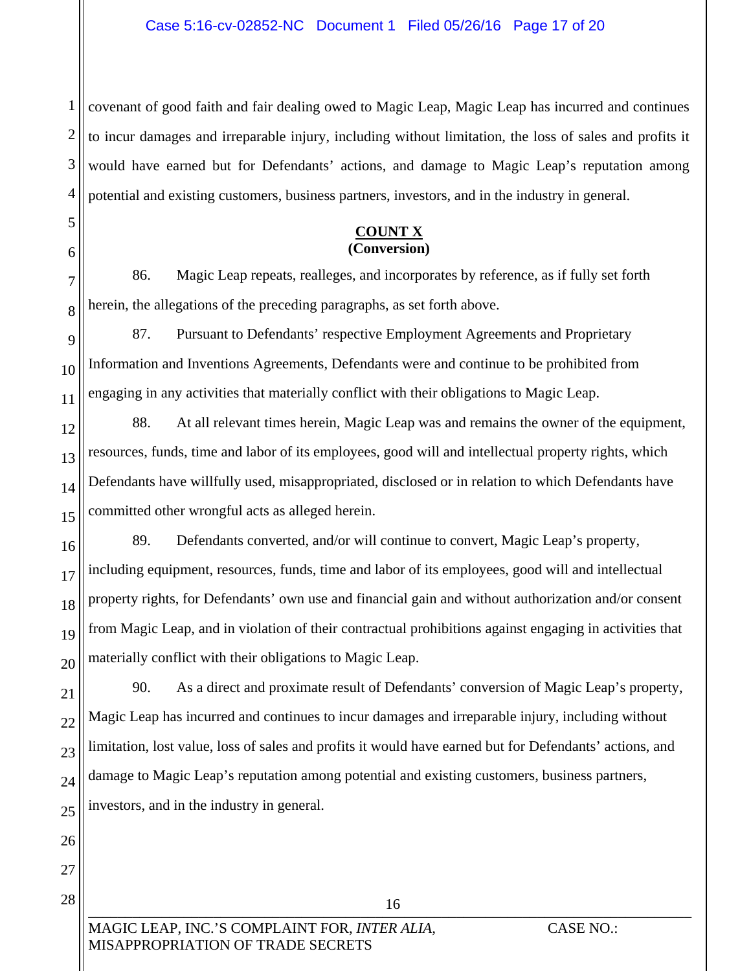1 2 3 4 covenant of good faith and fair dealing owed to Magic Leap, Magic Leap has incurred and continues to incur damages and irreparable injury, including without limitation, the loss of sales and profits it would have earned but for Defendants' actions, and damage to Magic Leap's reputation among potential and existing customers, business partners, investors, and in the industry in general.

#### **COUNT X (Conversion)**

86. Magic Leap repeats, realleges, and incorporates by reference, as if fully set forth herein, the allegations of the preceding paragraphs, as set forth above.

9 10 87. Pursuant to Defendants' respective Employment Agreements and Proprietary Information and Inventions Agreements, Defendants were and continue to be prohibited from engaging in any activities that materially conflict with their obligations to Magic Leap.

88. At all relevant times herein, Magic Leap was and remains the owner of the equipment, resources, funds, time and labor of its employees, good will and intellectual property rights, which Defendants have willfully used, misappropriated, disclosed or in relation to which Defendants have committed other wrongful acts as alleged herein.

89. Defendants converted, and/or will continue to convert, Magic Leap's property, including equipment, resources, funds, time and labor of its employees, good will and intellectual property rights, for Defendants' own use and financial gain and without authorization and/or consent from Magic Leap, and in violation of their contractual prohibitions against engaging in activities that materially conflict with their obligations to Magic Leap.

90. As a direct and proximate result of Defendants' conversion of Magic Leap's property, Magic Leap has incurred and continues to incur damages and irreparable injury, including without limitation, lost value, loss of sales and profits it would have earned but for Defendants' actions, and damage to Magic Leap's reputation among potential and existing customers, business partners, investors, and in the industry in general.

 $10$ 

16

5

6

7

8

MAGIC LEAP, INC.'S COMPLAINT FOR, *INTER ALIA*, CASE NO.: MISAPPROPRIATION OF TRADE SECRETS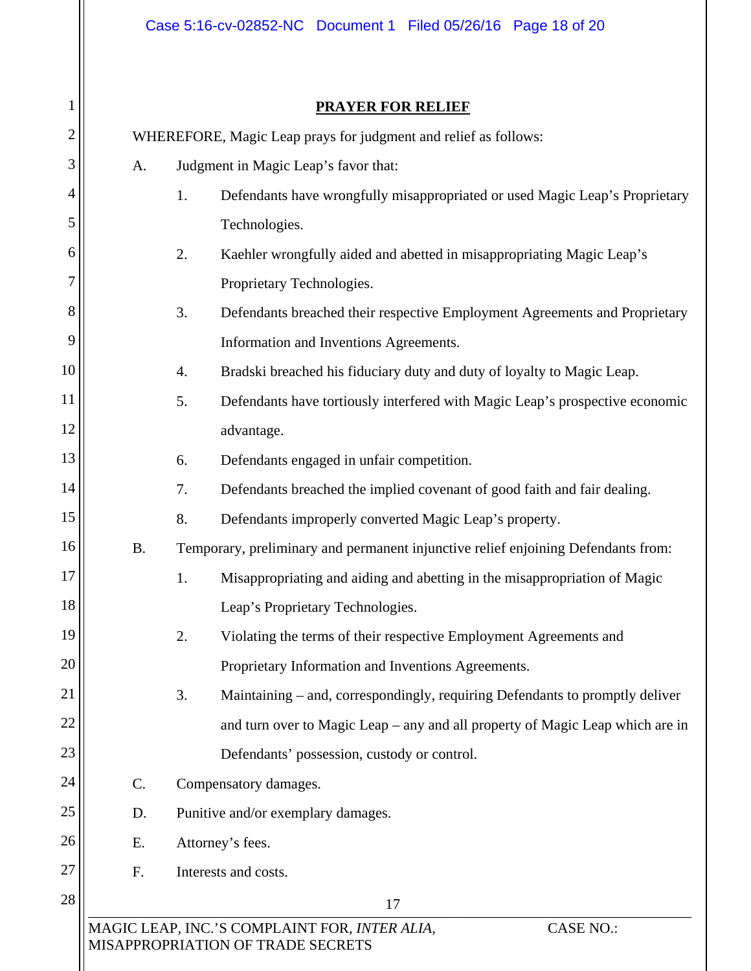#### **PRAYER FOR RELIEF**

|                | <b>PRAYER FOR RELIEF</b>                                                                               |                                                                                    |  |
|----------------|--------------------------------------------------------------------------------------------------------|------------------------------------------------------------------------------------|--|
| $\overline{2}$ | WHEREFORE, Magic Leap prays for judgment and relief as follows:                                        |                                                                                    |  |
| 3              | Judgment in Magic Leap's favor that:<br>A.                                                             |                                                                                    |  |
| 4              |                                                                                                        | 1.<br>Defendants have wrongfully misappropriated or used Magic Leap's Proprietary  |  |
| 5              |                                                                                                        | Technologies.                                                                      |  |
| 6              |                                                                                                        | 2.<br>Kaehler wrongfully aided and abetted in misappropriating Magic Leap's        |  |
| 7              |                                                                                                        | Proprietary Technologies.                                                          |  |
| 8              |                                                                                                        | 3.<br>Defendants breached their respective Employment Agreements and Proprietary   |  |
| 9              |                                                                                                        | Information and Inventions Agreements.                                             |  |
| 10             |                                                                                                        | Bradski breached his fiduciary duty and duty of loyalty to Magic Leap.<br>4.       |  |
| 11             |                                                                                                        | 5.<br>Defendants have tortiously interfered with Magic Leap's prospective economic |  |
| 12             |                                                                                                        | advantage.                                                                         |  |
| 13             |                                                                                                        | Defendants engaged in unfair competition.<br>6.                                    |  |
| 14             |                                                                                                        | Defendants breached the implied covenant of good faith and fair dealing.<br>7.     |  |
| 15             |                                                                                                        | 8.<br>Defendants improperly converted Magic Leap's property.                       |  |
| 16             | <b>B.</b><br>Temporary, preliminary and permanent injunctive relief enjoining Defendants from:         |                                                                                    |  |
| 17             |                                                                                                        | 1.<br>Misappropriating and aiding and abetting in the misappropriation of Magic    |  |
| 18             |                                                                                                        | Leap's Proprietary Technologies.                                                   |  |
| 19             |                                                                                                        | 2.<br>Violating the terms of their respective Employment Agreements and            |  |
| 20             |                                                                                                        | Proprietary Information and Inventions Agreements.                                 |  |
| 21             |                                                                                                        | 3.<br>Maintaining – and, correspondingly, requiring Defendants to promptly deliver |  |
| 22             |                                                                                                        | and turn over to Magic Leap – any and all property of Magic Leap which are in      |  |
| 23             |                                                                                                        | Defendants' possession, custody or control.                                        |  |
| 24             | C.                                                                                                     | Compensatory damages.                                                              |  |
| 25             | Punitive and/or exemplary damages.<br>D.                                                               |                                                                                    |  |
| 26             | Attorney's fees.<br>E.                                                                                 |                                                                                    |  |
| 27             | F.<br>Interests and costs.                                                                             |                                                                                    |  |
| 28             |                                                                                                        | 17                                                                                 |  |
|                | MAGIC LEAP, INC.'S COMPLAINT FOR, INTER ALIA,<br><b>CASE NO.:</b><br>MISAPPROPRIATION OF TRADE SECRETS |                                                                                    |  |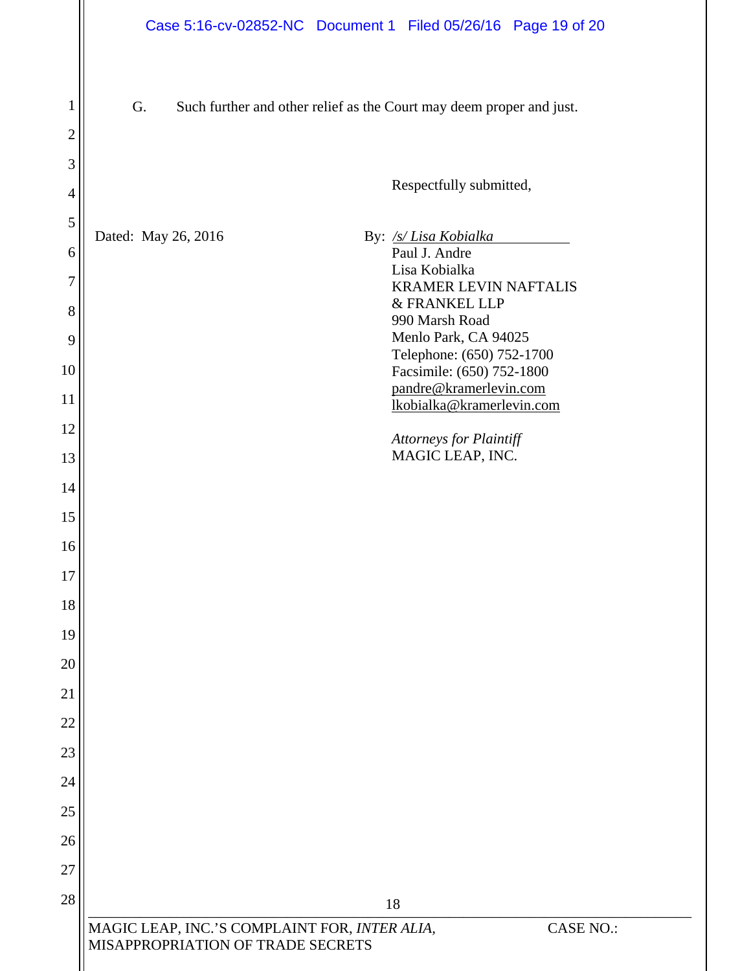| $\mathbf 1$    | G.<br>Such further and other relief as the Court may deem proper and just.                             |  |                                                     |
|----------------|--------------------------------------------------------------------------------------------------------|--|-----------------------------------------------------|
| $\overline{2}$ |                                                                                                        |  |                                                     |
| 3              |                                                                                                        |  | Respectfully submitted,                             |
| $\overline{4}$ |                                                                                                        |  |                                                     |
| 5              | Dated: May 26, 2016                                                                                    |  | By: /s/ Lisa Kobialka                               |
| 6              |                                                                                                        |  | Paul J. Andre<br>Lisa Kobialka                      |
| 7              |                                                                                                        |  | <b>KRAMER LEVIN NAFTALIS</b><br>& FRANKEL LLP       |
| 8              |                                                                                                        |  | 990 Marsh Road<br>Menlo Park, CA 94025              |
| 9<br>10        |                                                                                                        |  | Telephone: (650) 752-1700                           |
| 11             |                                                                                                        |  | Facsimile: (650) 752-1800<br>pandre@kramerlevin.com |
| 12             |                                                                                                        |  | lkobialka@kramerlevin.com                           |
| 13             |                                                                                                        |  | Attorneys for Plaintiff<br>MAGIC LEAP, INC.         |
| 14             |                                                                                                        |  |                                                     |
| 15             |                                                                                                        |  |                                                     |
| 16             |                                                                                                        |  |                                                     |
| 17             |                                                                                                        |  |                                                     |
| 18             |                                                                                                        |  |                                                     |
| 19             |                                                                                                        |  |                                                     |
| 20             |                                                                                                        |  |                                                     |
| 21             |                                                                                                        |  |                                                     |
| 22             |                                                                                                        |  |                                                     |
| 23             |                                                                                                        |  |                                                     |
| 24             |                                                                                                        |  |                                                     |
| 25             |                                                                                                        |  |                                                     |
| 26             |                                                                                                        |  |                                                     |
| 27             |                                                                                                        |  |                                                     |
| 28             |                                                                                                        |  | 18                                                  |
|                | MAGIC LEAP, INC.'S COMPLAINT FOR, INTER ALIA,<br><b>CASE NO.:</b><br>MISAPPROPRIATION OF TRADE SECRETS |  |                                                     |